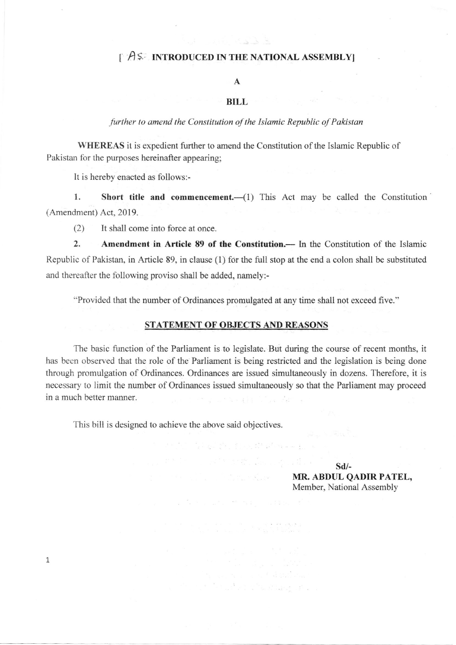## $\int$   $\hat{A}$   $\hat{s}$ . INTRODUCED IN THE NATIONAL ASSEMBLY]

### A

#### BILL

#### further to amend the Constitution of the Islamic Republic of Pakistan

WHEREAS it is expedient further to amend the Constitution of the Islamic Republic of Pakistan for the purposes hereinafter appearing;

It is hereby enacted as follows:-

1. Short title and commencement.—(1) This Act may be called the Constitution (Amendment) Act, 2019.

(2) It shall come into force at once.

2. Amendment in Article 89 of the Constitution.— In the Constitution of the Islamic Republic of Pakistan, in Article 89, in clause (1) for the full stop at the end a colon shall be substituted and thereafter the following proviso shall be added, namely:-

''Provided that the number of Ordinances promulgated at any time shall not exceed five."

#### STATEMENT OF OBJECTS AND REASONS

The basic function of the Parliament is to legislate. But during the course of recent months, it has been observed that the role of the Parliament is being restricted and the legislation is being done through promulgation of Ordinances. Ordinances are issued simultaneously in dozens. Therefore, it is necessary to limit the number of Ordinances issued simultaneously so that the Parliament may proceed in a much better manner.

sen var en syntanie.<br>Geografia

This bill is desigaed to achieve the above said objectives.

1

 $\label{eq:zeta} \begin{split} \mathcal{L}^{(n)}&=\frac{1}{2}\left(\mathcal{L}^{(n)}\mathcal{L}^{(n)}\mathcal{L}^{(n)}\mathcal{L}^{(n)}\right)^{2}\mathcal{L}^{(n)}\mathcal{L}^{(n)}\mathcal{L}^{(n)}\mathcal{L}^{(n)}\mathcal{L}^{(n)}\mathcal{L}^{(n)}\mathcal{L}^{(n)}\mathcal{L}^{(n)}\mathcal{L}^{(n)}\mathcal{L}^{(n)}\mathcal{L}^{(n)}\mathcal{L}^{(n)}\mathcal{L}^{(n)}\mathcal{L}^{(n)}\mathcal$ sd/- MR. ABDUL QADIR PATEL, Member, National Assembly